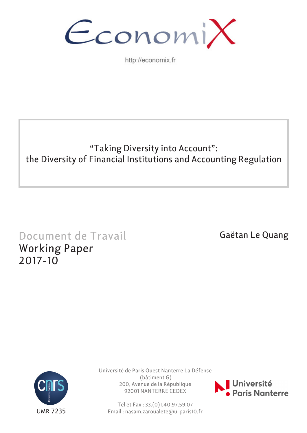

http://economix.fr

## "Taking Diversity into Account": the Diversity of Financial Institutions and Accounting Regulation

# Document de Travail Working Paper 2017-10

Gaëtan Le Quang



Université de Paris Ouest Nanterre La Défense (bâtiment G) 200, Avenue de la République 92001 NANTERRE CEDEX



Tél et Fax : 33.(0)1.40.97.59.07 Email : nasam.zaroualete@u-paris10.fr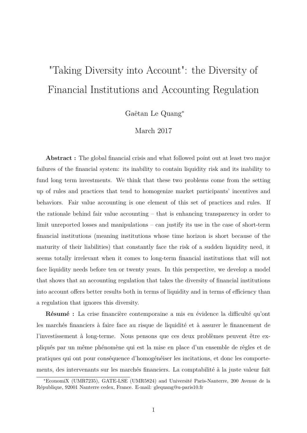# "Taking Diversity into Account": the Diversity of Financial Institutions and Accounting Regulation

Gaëtan Le Quang<sup>∗</sup>

## March 2017

**Abstract :** The global financial crisis and what followed point out at least two major failures of the financial system: its inability to contain liquidity risk and its inability to fund long term investments. We think that these two problems come from the setting up of rules and practices that tend to homogenize market participants' incentives and behaviors. Fair value accounting is one element of this set of practices and rules. If the rationale behind fair value accounting – that is enhancing transparency in order to limit unreported losses and manipulations – can justify its use in the case of short-term financial institutions (meaning institutions whose time horizon is short because of the maturity of their liabilities) that constantly face the risk of a sudden liquidity need, it seems totally irrelevant when it comes to long-term financial institutions that will not face liquidity needs before ten or twenty years. In this perspective, we develop a model that shows that an accounting regulation that takes the diversity of financial institutions into account offers better results both in terms of liquidity and in terms of efficiency than a regulation that ignores this diversity.

**Résumé :** La crise financière contemporaine a mis en évidence la difficulté qu'ont les marchés financiers à faire face au risque de liquidité et à assurer le financement de l'investissement à long-terme. Nous pensons que ces deux problèmes peuvent être expliqués par un même phénomène qui est la mise en place d'un ensemble de règles et de pratiques qui ont pour conséquence d'homogénéiser les incitations, et donc les comportements, des intervenants sur les marchés financiers. La comptabilité à la juste valeur fait

<sup>∗</sup>EconomiX (UMR7235), GATE-LSE (UMR5824) and Université Paris-Nanterre, 200 Avenue de la République, 92001 Nanterre cedex, France. E-mail: glequang@u-paris10.fr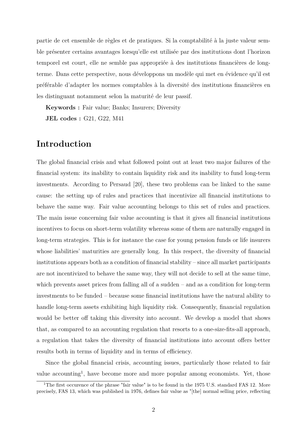partie de cet ensemble de règles et de pratiques. Si la comptabilité à la juste valeur semble présenter certains avantages lorsqu'elle est utilisée par des institutions dont l'horizon temporel est court, elle ne semble pas appropriée à des institutions financières de longterme. Dans cette perspective, nous développons un modèle qui met en évidence qu'il est préférable d'adapter les normes comptables à la diversité des institutions financières en les distinguant notamment selon la maturité de leur passif.

**Keywords :** Fair value; Banks; Insurers; Diversity

**JEL codes :** G21, G22, M41

## **Introduction**

The global financial crisis and what followed point out at least two major failures of the financial system: its inability to contain liquidity risk and its inability to fund long-term investments. According to Persaud [20], these two problems can be linked to the same cause: the setting up of rules and practices that incentivize all financial institutions to behave the same way. Fair value accounting belongs to this set of rules and practices. The main issue concerning fair value accounting is that it gives all financial institutions incentives to focus on short-term volatility whereas some of them are naturally engaged in long-term strategies. This is for instance the case for young pension funds or life insurers whose liabilities' maturities are generally long. In this respect, the diversity of financial institutions appears both as a condition of financial stability – since all market participants are not incentivized to behave the same way, they will not decide to sell at the same time, which prevents asset prices from falling all of a sudden – and as a condition for long-term investments to be funded – because some financial institutions have the natural ability to handle long-term assets exhibiting high liquidity risk. Consequently, financial regulation would be better off taking this diversity into account. We develop a model that shows that, as compared to an accounting regulation that resorts to a one-size-fits-all approach, a regulation that takes the diversity of financial institutions into account offers better results both in terms of liquidity and in terms of efficiency.

Since the global financial crisis, accounting issues, particularly those related to fair value accounting<sup>1</sup>, have become more and more popular among economists. Yet, those

<sup>&</sup>lt;sup>1</sup>The first occurence of the phrase "fair value" is to be found in the 1975 U.S. standard FAS 12. More precisely, FAS 13, which was published in 1976, defines fair value as "[the] normal selling price, reflecting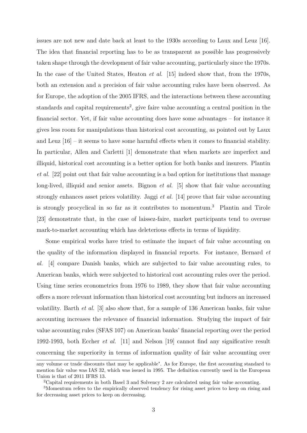issues are not new and date back at least to the 1930s according to Laux and Leuz [16]. The idea that financial reporting has to be as transparent as possible has progressively taken shape through the development of fair value accounting, particularly since the 1970s. In the case of the United States, Heaton *et al.* [15] indeed show that, from the 1970s, both an extension and a precision of fair value accounting rules have been observed. As for Europe, the adoption of the 2005 IFRS, and the interactions between these accounting standards and capital requirements<sup>2</sup>, give faire value accounting a central position in the financial sector. Yet, if fair value accounting does have some advantages – for instance it gives less room for manipulations than historical cost accounting, as pointed out by Laux and Leuz  $[16]$  – it seems to have some harmful effects when it comes to financial stability. In particular, Allen and Carletti [1] demonstrate that when markets are imperfect and illiquid, historical cost accounting is a better option for both banks and insurers. Plantin *et al.* [22] point out that fair value accounting is a bad option for institutions that manage long-lived, illiquid and senior assets. Bignon *et al.* [5] show that fair value accounting strongly enhances asset prices volatility. Jaggi *et al.* [14] prove that fair value accounting is strongly procyclical in so far as it contributes to momentum.<sup>3</sup> Plantin and Tirole [23] demonstrate that, in the case of laissez-faire, market participants tend to overuse mark-to-market accounting which has deleterious effects in terms of liquidity.

Some empirical works have tried to estimate the impact of fair value accounting on the quality of the information displayed in financial reports. For instance, Bernard *et al.* [4] compare Danish banks, which are subjected to fair value accounting rules, to American banks, which were subjected to historical cost accounting rules over the period. Using time series econometrics from 1976 to 1989, they show that fair value accounting offers a more relevant information than historical cost accounting but induces an increased volatility. Barth *et al.* [3] also show that, for a sample of 136 American banks, fair value accounting increases the relevance of financial information. Studying the impact of fair value accounting rules (SFAS 107) on American banks' financial reporting over the period 1992-1993, both Eccher *et al.* [11] and Nelson [19] cannot find any significative result concerning the superiority in terms of information quality of fair value accounting over

any volume or trade discounts that may be applicable". As for Europe, the first accounting standard to mention fair value was IAS 32, which was issued in 1995. The definition currently used in the European Union is that of 2011 IFRS 13.

<sup>2</sup>Capital requirements in both Basel 3 and Solvency 2 are calculated using fair value accounting.

<sup>3</sup>Momentum refers to the empirically observed tendency for rising asset prices to keep on rising and for decreasing asset prices to keep on decreasing.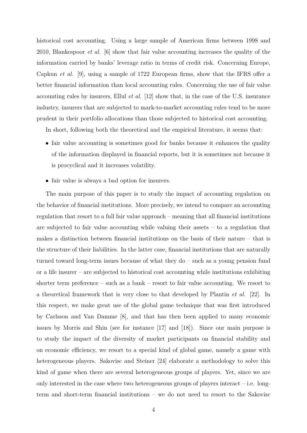historical cost accounting. Using a large sample of American firms between 1998 and 2010, Blankespoor *et al.* [6] show that fair value accounting increases the quality of the information carried by banks' leverage ratio in terms of credit risk. Concerning Europe, Capkun *et al.* [9], using a sample of 1722 European firms, show that the IFRS offer a better financial information than local accounting rules. Concerning the use of fair value accounting rules by insurers, Ellul *et al.* [12] show that, in the case of the U.S. insurance industry, insurers that are subjected to mark-to-market accounting rules tend to be more prudent in their portfolio allocations than those subjected to historical cost accounting.

In short, following both the theoretical and the empirical literature, it seems that:

- fair value accounting is sometimes good for banks because it enhances the quality of the information displayed in financial reports, but it is sometimes not because it is procyclical and it increases volatility.
- fair value is always a bad option for insurers.

The main purpose of this paper is to study the impact of accounting regulation on the behavior of financial institutions. More precisely, we intend to compare an accounting regulation that resort to a full fair value approach – meaning that all financial institutions are subjected to fair value accounting while valuing their assets – to a regulation that makes a distinction between financial institutions on the basis of their nature – that is the structure of their liabilities. In the latter case, financial institutions that are naturally turned toward long-term issues because of what they do – such as a young pension fund or a life insurer – are subjected to historical cost accounting while institutions exhibiting shorter term preference – such as a bank – resort to fair value accounting. We resort to a theoretical framework that is very close to that developed by Plantin *et al.* [22]. In this respect, we make great use of the global game technique that was first introduced by Carlsson and Van Damme [8], and that has then been applied to many economic issues by Morris and Shin (see for instance [17] and [18]). Since our main purpose is to study the impact of the diversity of market participants on financial stability and on economic efficiency, we resort to a special kind of global game, namely a game with heterogeneous players. Sakovisc and Steiner [24] elaborate a methodology to solve this kind of game when there are several heterogeneous groups of players. Yet, since we are only interested in the case where two heterogeneous groups of players interact  $-$  i.e. longterm and short-term financial institutions – we do not need to resort to the Sakovisc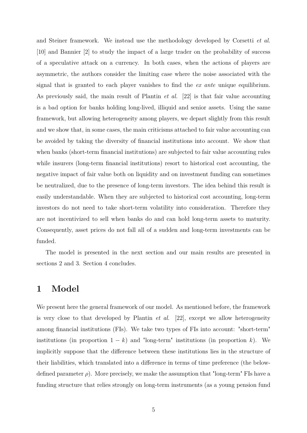and Steiner framework. We instead use the methodology developed by Corsetti *et al.* [10] and Bannier [2] to study the impact of a large trader on the probability of success of a speculative attack on a currency. In both cases, when the actions of players are asymmetric, the authors consider the limiting case where the noise associated with the signal that is granted to each player vanishes to find the *ex ante* unique equilibrium. As previously said, the main result of Plantin *et al.* [22] is that fair value accounting is a bad option for banks holding long-lived, illiquid and senior assets. Using the same framework, but allowing heterogeneity among players, we depart slightly from this result and we show that, in some cases, the main criticisms attached to fair value accounting can be avoided by taking the diversity of financial institutions into account. We show that when banks (short-term financial institutions) are subjected to fair value accounting rules while insurers (long-term financial institutions) resort to historical cost accounting, the negative impact of fair value both on liquidity and on investment funding can sometimes be neutralized, due to the presence of long-term investors. The idea behind this result is easily understandable. When they are subjected to historical cost accounting, long-term investors do not need to take short-term volatility into consideration. Therefore they are not incentivized to sell when banks do and can hold long-term assets to maturity. Consequently, asset prices do not fall all of a sudden and long-term investments can be funded.

The model is presented in the next section and our main results are presented in sections 2 and 3. Section 4 concludes.

## **1 Model**

We present here the general framework of our model. As mentioned before, the framework is very close to that developed by Plantin *et al.* [22], except we allow heterogeneity among financial institutions (FIs). We take two types of FIs into account: "short-term" institutions (in proportion  $1 - k$ ) and "long-term" institutions (in proportion k). We implicitly suppose that the difference between these institutions lies in the structure of their liabilities, which translated into a difference in terms of time preference (the belowdefined parameter  $\rho$ ). More precisely, we make the assumption that "long-term" FIs have a funding structure that relies strongly on long-term instruments (as a young pension fund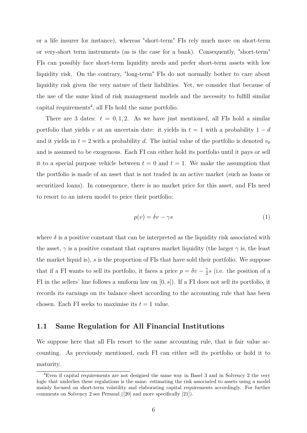or a life insurer for instance), whereas "short-term" FIs rely much more on short-term or very-short term instruments (as is the case for a bank). Consequently, "short-term" FIs can possibly face short-term liquidity needs and prefer short-term assets with low liquidity risk. On the contrary, "long-term" FIs do not normally bother to care about liquidity risk given the very nature of their liabilities. Yet, we consider that because of the use of the same kind of risk management models and the necessity to fulfill similar capital requirements<sup>4</sup> , all FIs hold the same portfolio.

There are 3 dates:  $t = 0, 1, 2$ . As we have just mentioned, all FIs hold a similar portfolio that yields *v* at an uncertain date: it yields in  $t = 1$  with a probability  $1 - d$ and it yields in  $t = 2$  with a probability *d*. The initial value of the portfolio is denoted  $v_0$ and is assumed to be exogenous. Each FI can either hold its portfolio until it pays or sell it to a special purpose vehicle between  $t = 0$  and  $t = 1$ . We make the assumption that the portfolio is made of an asset that is not traded in an active market (such as loans or securitized loans). In consequence, there is no market price for this asset, and FIs need to resort to an intern model to price their portfolio:

$$
p(v) = \delta v - \gamma s \tag{1}
$$

where  $\delta$  is a positive constant that can be interpreted as the liquidity risk associated with the asset,  $\gamma$  is a positive constant that captures market liquidity (the larger  $\gamma$  is, the least the market liquid is), *s* is the proportion of FIs that have sold their portfolio. We suppose that if a FI wants to sell its portfolio, it faces a price  $p = \delta v - \frac{\gamma}{2}$  $\frac{\gamma}{2}s$  (i.e. the position of a FI in the sellers' line follows a uniform law on [0*, s*]). If a FI does not sell its portfolio, it records its earnings on its balance sheet according to the accounting rule that has been chosen. Each FI seeks to maximise its  $t = 1$  value.

#### **1.1 Same Regulation for All Financial Institutions**

We suppose here that all FIs resort to the same accounting rule, that is fair value accounting. As previously mentioned, each FI can either sell its portfolio or hold it to maturity.

<sup>4</sup>Even if capital requirements are not designed the same way in Basel 3 and in Solvency 2 the very logic that underlies these regulations is the same: estimating the risk associated to assets using a model mainly focused on short-term volatility and elaborating capital requirements accordingly. For further comments on Solvency 2 see Persaud ([20] and more specifically [21]).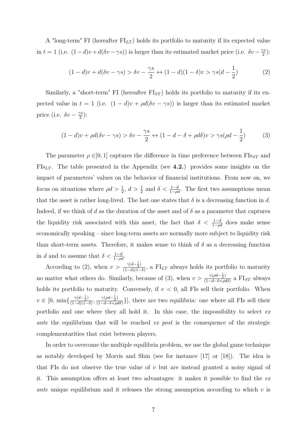A "long-term" FI (hereafter FI*LT* ) holds its portfolio to maturity if its expected value in *t* = 1 (i.e.  $(1-d)v + d(\delta v - \gamma s)$ ) is larger than its estimated market price (i.e.  $\delta v - \frac{\gamma s}{2}$  $\frac{\gamma s}{2})$  :

$$
(1-d)v + d(\delta v - \gamma s) > \delta v - \frac{\gamma s}{2} \leftrightarrow (1-d)(1-\delta)v > \gamma s(d - \frac{1}{2})
$$
\n(2)

Similarly, a "short-term" FI (hereafter  $FI_{ST}$ ) holds its portfolio to maturity if its expected value in  $t = 1$  (i.e.  $(1 - d)v + \rho d(\delta v - \gamma s)$ ) is larger than its estimated market price (i.e.  $\delta v - \frac{\gamma s}{2}$  $\frac{\gamma s}{2}$ ):

$$
(1-d)v + \rho d(\delta v - \gamma s) > \delta v - \frac{\gamma s}{2} \leftrightarrow (1-d-\delta + \rho d\delta)v > \gamma s(\rho d - \frac{1}{2})
$$
 (3)

The parameter  $\rho \in ]0,1]$  captures the difference in time preference between  $\text{FIs}_{ST}$  and FIs*LT* . The table presented in the Appendix (see **4.2.**) provides some insights on the impact of parameters' values on the behavior of financial institutions. From now on, we focus on situations where  $\rho d > \frac{1}{2}$ ,  $d > \frac{1}{2}$  and  $\delta < \frac{1-d}{1-\rho d}$ . The first two assumptions mean that the asset is rather long-lived. The last one states that  $\delta$  is a decreasing function in *d*. Indeed, if we think of *d* as the duration of the asset and of  $\delta$  as a parameter that captures the liquidity risk associated with this asset, the fact that  $\delta < \frac{1-d}{1-\rho d}$  does make sense economically speaking – since long-term assets are normally more subject to liquidity risk than short-term assets. Therefore, it makes sense to think of  $\delta$  as a decreasing function in *d* and to assume that  $\delta < \frac{1-d}{1-\rho d}$ .

According to (2), when  $v > \frac{\gamma(d-\frac{1}{2})}{(1-d)(1-d)}$  $\frac{\gamma(a-\frac{1}{2})}{(1-d)(1-\delta)}$ , a FI<sub>LT</sub> always holds its portfolio to maturity no matter what others do. Similarly, because of (3), when  $v > \frac{\gamma(\rho d - \frac{1}{2})}{(1 - d - \delta + \rho)}$  $\frac{\gamma(\rho a - \frac{1}{2})}{(1 - d - \delta + \rho d\delta)}$  a FI<sub>*ST*</sub> always holds its portfolio to maturity. Conversely, if  $v < 0$ , all FIs sell their portfolio. When  $v \in [0, \min\{\frac{\gamma(d-\frac{1}{2})}{(1-d)(1-d)}\}]$  $\frac{\gamma(d-\frac{1}{2})}{(1-d)(1-\delta)}, \frac{\gamma(\rho d-\frac{1}{2})}{(1-d-\delta+\rho d)}$  $\frac{\gamma(\rho a - \frac{1}{2})}{(1 - d - \delta + \rho d\delta)}$ }, there are two equilibria: one where all FIs sell their portfolio and one where they all hold it. In this case, the impossibility to select *ex ante* the equilibrium that will be reached *ex post* is the consequence of the strategic complementarities that exist between players.

In order to overcome the multiple equilibria problem, we use the global game technique as notably developed by Morris and Shin (see for instance [17] or [18]). The idea is that FIs do not observe the true value of *v* but are instead granted a noisy signal of it. This assumption offers at least two advantages: it makes it possible to find the *ex ante* unique equilibrium and it releases the strong assumption according to which *v* is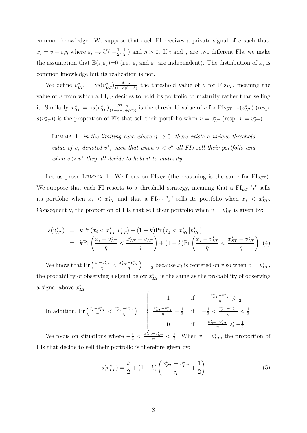common knowledge. We suppose that each FI receives a private signal of *v* such that:  $x_i = v + \varepsilon_i \eta$  where  $\varepsilon_i \hookrightarrow U([-{\frac{1}{2}}]$  $\frac{1}{2}, \frac{1}{2}$  $\frac{1}{2}$ ) and  $\eta > 0$ . If *i* and *j* are two different FIs, we make the assumption that  $E(\varepsilon_i \varepsilon_j) = 0$  (i.e.  $\varepsilon_i$  and  $\varepsilon_j$  are independent). The distribution of  $x_i$  is common knowledge but its realization is not.

We define  $v_{LT}^* = \gamma s(v_{LT}^*) \frac{d-\frac{1}{2}}{(1-d)(1-\delta)}$  the threshold value of *v* for FIs<sub>LT</sub>, meaning the value of *v* from which a  $FI_{LT}$  decides to hold its portfolio to maturity rather than selling it. Similarly,  $v_{ST}^* = \gamma s(v_{ST}^*) \frac{\rho d - \frac{1}{2}}{(1 - d - \delta + \rho d \delta)}$  is the threshold value of *v* for FIs<sub>ST</sub>.  $s(v_{LT}^*)$  (resp.  $s(v_{ST}^*)$  is the proportion of FIs that sell their portfolio when  $v = v_{LT}^*$  (resp.  $v = v_{ST}^*$ ).

LEMMA 1: *in the limiting case where*  $\eta \rightarrow 0$ *, there exists a unique threshold value of v*, denoted  $v^*$ , such that when  $v < v^*$  *all FIs sell their portfolio and* when  $v > v^*$  they all decide to hold it to maturity.

Let us prove LEMMA 1. We focus on  $\text{FIs}_{LT}$  (the reasoning is the same for  $\text{FIs}_{ST}$ ). We suppose that each FI resorts to a threshold strategy, meaning that a FI*LT* "*i*" sells its portfolio when  $x_i < x_{LT}^*$  and that a FI<sub>ST</sub> "j" sells its portfolio when  $x_j < x_{ST}^*$ . Consequently, the proportion of FIs that sell their portfolio when  $v = v_{LT}^*$  is given by:

$$
s(v_{LT}^{*}) = k \Pr(x_{i} < x_{LT}^{*} | v_{LT}^{*}) + (1 - k) \Pr(x_{j} < x_{ST}^{*} | v_{LT}^{*})
$$
\n
$$
= k \Pr\left(\frac{x_{i} - v_{LT}^{*}}{\eta} < \frac{x_{LT}^{*} - v_{LT}^{*}}{\eta}\right) + (1 - k) \Pr\left(\frac{x_{j} - v_{LT}^{*}}{\eta} < \frac{x_{ST}^{*} - v_{LT}^{*}}{\eta}\right) \tag{4}
$$

We know that  $\Pr\left(\frac{x_i - v_{LT}^*}{\eta} < \frac{x_{LT}^* - v_{LT}^*}{\eta}\right)$  $=\frac{1}{2}$  $\frac{1}{2}$  because  $x_i$  is centered on *v* so when  $v = v_{LT}^*$ , the probability of observing a signal below  $x_{LT}^*$  is the same as the probability of observing a signal above  $x_{LT}^*$ .  $\overline{\phantom{a}}$ 

In addition, 
$$
\Pr\left(\frac{x_j - v_{LT}^*}{\eta} < \frac{x_{ST}^* - v_{LT}^*}{\eta}\right) = \begin{cases} 1 & \text{if } \frac{x_{ST}^* - v_{LT}^*}{\eta} \ge \frac{1}{2} \\ \frac{x_{ST}^* - v_{LT}^*}{\eta} + \frac{1}{2} & \text{if } -\frac{1}{2} < \frac{x_{ST}^* - v_{LT}^*}{\eta} < \frac{1}{2} \\ 0 & \text{if } \frac{x_{ST}^* - v_{LT}^*}{\eta} \le -\frac{1}{2} \end{cases}
$$

We focus on situations where  $-\frac{1}{2} < \frac{x_{ST}^* - v_{LT}^*}{\eta} < \frac{1}{2}$  $\frac{1}{2}$ . When  $v = v_{LT}^*$ , the proportion of FIs that decide to sell their portfolio is therefore given by:

$$
s(v_{LT}^*) = \frac{k}{2} + (1 - k) \left( \frac{x_{ST}^* - v_{LT}^*}{\eta} + \frac{1}{2} \right)
$$
 (5)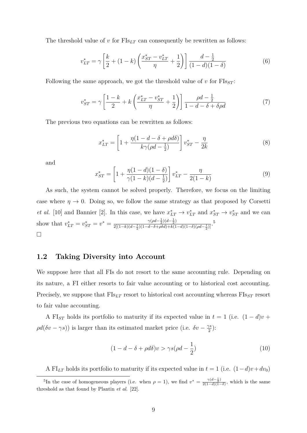The threshold value of  $v$  for  $\text{FIs}_{LT}$  can consequently be rewritten as follows:

$$
v_{LT}^* = \gamma \left[ \frac{k}{2} + (1 - k) \left( \frac{x_{ST}^* - v_{LT}^*}{\eta} + \frac{1}{2} \right) \right] \frac{d - \frac{1}{2}}{(1 - d)(1 - \delta)} \tag{6}
$$

Following the same approach, we got the threshold value of  $v$  for  $FIs_{ST}$ :

$$
v_{ST}^* = \gamma \left[ \frac{1 - k}{2} + k \left( \frac{x_{LT}^* - v_{ST}^*}{\eta} + \frac{1}{2} \right) \right] \frac{\rho d - \frac{1}{2}}{1 - d - \delta + \delta \rho d} \tag{7}
$$

The previous two equations can be rewritten as follows:

$$
x_{LT}^* = \left[1 + \frac{\eta(1 - d - \delta + \rho d\delta)}{k\gamma(\rho d - \frac{1}{2})}\right]v_{ST}^* - \frac{\eta}{2k}
$$
(8)

and

$$
x_{ST}^* = \left[1 + \frac{\eta(1-d)(1-\delta)}{\gamma(1-k)(d-\frac{1}{2})}\right]v_{LT}^* - \frac{\eta}{2(1-k)}\tag{9}
$$

As such, the system cannot be solved properly. Therefore, we focus on the limiting case where  $\eta \to 0$ . Doing so, we follow the same strategy as that proposed by Corsetti *et al.* [10] and Bannier [2]. In this case, we have  $x_{LT}^* \rightarrow v_{LT}^*$  and  $x_{ST}^* \rightarrow v_{ST}^*$  and we can show that  $v_{LT}^* = v_{ST}^* = v^* = \frac{\gamma(\rho d - \frac{1}{2})(d - \frac{1}{2})}{2[(1 - k)(d - \frac{1}{2})(1 - d - \delta + \rho \delta d) + k(1)}$  $\frac{\gamma(\rho d - \frac{1}{2})(d - \frac{1}{2})}{2[(1-k)(d - \frac{1}{2})(1-d-\delta+\rho\delta d)+k(1-d)(1-\delta)(\rho d - \frac{1}{2})]}$  $\Box$ 

## **1.2 Taking Diversity into Account**

We suppose here that all FIs do not resort to the same accounting rule. Depending on its nature, a FI either resorts to fair value accounting or to historical cost accounting. Precisely, we suppose that  $\text{FIs}_{LT}$  resort to historical cost accounting whereas  $\text{FIs}_{ST}$  resort to fair value accounting.

A FI<sub>ST</sub> holds its portfolio to maturity if its expected value in  $t = 1$  (i.e.  $(1 - d)v$  +  $\rho d(\delta v - \gamma s)$ ) is larger than its estimated market price (i.e.  $\delta v - \frac{\gamma s}{2}$  $\frac{\gamma s}{2}$ ):

$$
(1 - d - \delta + \rho d\delta)v > \gamma s(\rho d - \frac{1}{2})
$$
\n(10)

A FI<sub>LT</sub> holds its portfolio to maturity if its expected value in  $t = 1$  (i.e.  $(1-d)v + dv_0$ )

<sup>&</sup>lt;sup>5</sup>In the case of homogeneous players (i.e. when  $\rho = 1$ ), we find  $v^* = \frac{\gamma(d-\frac{1}{2})}{2(1-d)(1-d)}$  $\frac{\gamma(a-\frac{1}{2})}{2(1-d)(1-\delta)}$ , which is the same threshold as that found by Plantin *et al.* [22].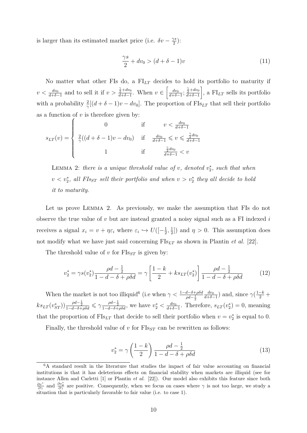is larger than its estimated market price (i.e.  $\delta v - \frac{\gamma s}{2}$  $\frac{\gamma s}{2}$ ):

$$
\frac{\gamma s}{2} + dv_0 > (d + \delta - 1)v \tag{11}
$$

No matter what other FIs do, a FI*LT* decides to hold its portfolio to maturity if  $v < \frac{dv_0}{d+\delta-1}$  and to sell it if  $v > \frac{\frac{\gamma}{2}+dv_0}{d+\delta-1}$  $\frac{\frac{\gamma}{2}+dv_0}{d+\delta-1}$ . When  $v \in \left[\frac{dv_0}{d+\delta-1}\right]$  $\frac{dv_0}{d+\delta-1}$ ;  $\frac{\frac{\gamma}{2}+dv_0}{d+\delta-1}$ *d*+*δ*−1  $\Big]$ , a FI<sub>LT</sub> sells its portfolio with a probability  $\frac{2}{\gamma}[(d+\delta-1)v-dv_0]$ . The proportion of FIs<sub>LT</sub> that sell their portfolio as a function of *v* is therefore given by:

$$
s_{LT}(v) = \begin{cases} 0 & \text{if } v < \frac{dv_0}{d + \delta - 1} \\ \frac{2}{\gamma}((d + \delta - 1)v - dv_0) & \text{if } \frac{dv_0}{d + \delta - 1} \le v \le \frac{\frac{\gamma}{2}dv_0}{d + \delta - 1} \\ 1 & \text{if } \frac{\frac{\gamma}{2}dv_0}{d + \delta - 1} < v \end{cases}
$$

LEMMA 2: *there is a unique threshold value of v*, *denoted*  $v_2^*$ , *such that when*  $v < v_2^*$ , all FIs<sub>ST</sub> sell their portfolio and when  $v > v_2^*$  they all decide to hold *it to maturity.*

Let us prove Lemma 2. As previously, we make the assumption that FIs do not observe the true value of *v* but are instead granted a noisy signal such as a FI indexed *i* receives a signal  $x_i = v + \eta \varepsilon_i$  where  $\varepsilon_i \hookrightarrow U([-{\frac{1}{2}}]$  $\frac{1}{2}, \frac{1}{2}$  $\frac{1}{2}$ ]) and  $\eta > 0$ . This assumption does not modify what we have just said concerning FIs*LT* as shown in Plantin *et al.* [22].

The threshold value of  $v$  for  $\text{FIs}_{ST}$  is given by:

$$
v_2^* = \gamma s(v_2^*) \frac{\rho d - \frac{1}{2}}{1 - d - \delta + \rho \delta d} = \gamma \left[ \frac{1 - k}{2} + k s_{LT}(v_2^*) \right] \frac{\rho d - \frac{1}{2}}{1 - d - \delta + \rho \delta d} \tag{12}
$$

When the market is not too illiquid<sup>6</sup> (i.e when  $\gamma < \frac{1-d-\delta+\rho\delta d}{\rho d-\frac{1}{2}}$ *dv*<sup>0</sup>  $\frac{dv_0}{d+\delta-1}$ ) and, since  $\gamma(\frac{1-k}{2} +$  $k s_{LT}(v_{ST}^*)$ )  $\frac{\rho d - \frac{1}{2}}{1 - d - \delta + \rho \delta d} \le \gamma \frac{\rho d - \frac{1}{2}}{1 - d - \delta + \rho \delta d}$ , we have  $v_2^* < \frac{dv_0}{d + \delta - \frac{1}{2}}$  $\frac{dv_0}{d+\delta-1}$ . Therefore,  $s_{LT}(v_2^*)=0$ , meaning that the proportion of  $\text{FIs}_{LT}$  that decide to sell their portfolio when  $v = v_2^*$  is equal to 0.

Finally, the threshold value of  $v$  for  $\text{FIs}_{ST}$  can be rewritten as follows:

$$
v_2^* = \gamma \left(\frac{1-k}{2}\right) \frac{\rho d - \frac{1}{2}}{1 - d - \delta + \rho \delta d} \tag{13}
$$

<sup>&</sup>lt;sup>6</sup>A standard result in the literature that studies the impact of fair value accounting on financial institutions is that it has deleterious effects on financial stability when markets are illiquid (see for instance Allen and Carletti [1] or Plantin *et al.* [22]). Our model also exhibits this feature since both  $\frac{\partial v^*}{\partial \gamma}$  and  $\frac{\partial v^*}{\partial \gamma}$  are positive. Consequently, when we focus on cases where  $\gamma$  is not too large, we study a situation that is particularly favorable to fair value (i.e. to case 1).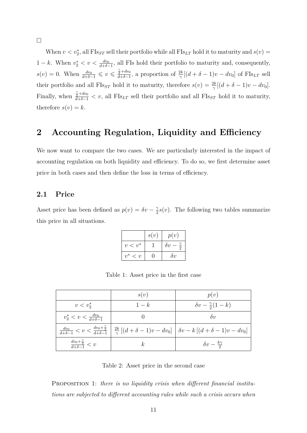$\Box$ 

When  $v < v_2^*$ , all  $\text{FIs}_{ST}$  sell their portfolio while all  $\text{FIs}_{LT}$  hold it to maturity and  $s(v)$ 1 − *k*. When  $v_2^* < v < \frac{dv_0}{d + \delta - 1}$ , all FIs hold their portfolio to maturity and, consequently,  $s(v) = 0$ . When  $\frac{dv_0}{d+\delta-1} \leq v \leq \frac{\frac{\gamma}{2}+dv_0}{d+\delta-1}$  $\frac{\dot{z}^{+dv_0}}{d+\delta-1}$ , a proportion of  $\frac{2k}{\gamma}[(d+\delta-1)v-dv_0]$  of FIs<sub>LT</sub> sell their portfolio and all FIs<sub>*ST*</sub> hold it to maturity, therefore  $s(v) = \frac{2k}{\gamma}[(d+\delta-1)v - dv_0]$ . Finally, when  $\frac{\tilde{\gamma}+dv_0}{d+\delta-1} < v$ , all FIs<sub>LT</sub> sell their portfolio and all FIs<sub>ST</sub> hold it to maturity, therefore  $s(v) = k$ .

## **2 Accounting Regulation, Liquidity and Efficiency**

We now want to compare the two cases. We are particularly interested in the impact of accounting regulation on both liquidity and efficiency. To do so, we first determine asset price in both cases and then define the loss in terms of efficiency.

#### **2.1 Price**

Asset price has been defined as  $p(v) = \delta v - \frac{2}{3}$  $\frac{\gamma}{2}$ *s*(*v*). The following two tables summarize this price in all situations.

|                                 | s(v) | p(v)       |
|---------------------------------|------|------------|
| $v < v^*$                       |      | $\delta v$ |
| $\eta^*$<br>$\langle v \rangle$ |      | $\delta v$ |

Table 1: Asset price in the first case

|                                                      | s(v)  | p(v)                                                                                                                                                                                                          |
|------------------------------------------------------|-------|---------------------------------------------------------------------------------------------------------------------------------------------------------------------------------------------------------------|
| $v < v_2^*$                                          | $1-k$ | $\delta v - \frac{\gamma}{2}(1-k)$                                                                                                                                                                            |
| $v_2^* < v < \frac{dv_0}{d+\delta-1}$                |       | $\delta v$                                                                                                                                                                                                    |
|                                                      |       | $\frac{dv_0}{d+\delta-1} < v < \frac{dv_0+\frac{\gamma}{2}}{d+\delta-1} \left  \frac{2k}{\gamma} \left[ (d+\delta-1)v - dv_0 \right] \right  \left  \delta v - k \left[ (d+\delta-1)v - dv_0 \right] \right $ |
| $\frac{dv_0 + \frac{\gamma}{2}}{d + \delta - 1} < v$ | k,    | $\delta v - \frac{k\gamma}{2}$                                                                                                                                                                                |

Table 2: Asset price in the second case

Proposition 1: *there is no liquidity crisis when different financial institutions are subjected to different accounting rules while such a crisis occurs when*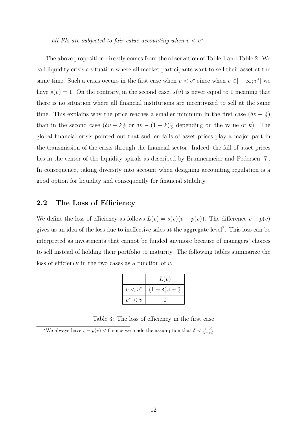*all FIs are subjected to fair value accounting when*  $v < v^*$ .

The above proposition directly comes from the observation of Table 1 and Table 2. We call liquidity crisis a situation where all market participants want to sell their asset at the same time. Such a crisis occurs in the first case when  $v < v^*$  since when  $v \in ]-\infty; v^*[$  we have  $s(v) = 1$ . On the contrary, in the second case,  $s(v)$  is never equal to 1 meaning that there is no situation where all financial institutions are incentivized to sell at the same time. This explains why the price reaches a smaller minimum in the first case  $(\delta v - \frac{2}{3})$  $\frac{\gamma}{2})$ than in the second case  $(\delta v - k^2)$  $\frac{\gamma}{2}$  or  $\delta v - (1 - k) \frac{\gamma}{2}$  $\frac{\gamma}{2}$  depending on the value of *k*). The global financial crisis pointed out that sudden falls of asset prices play a major part in the transmission of the crisis through the financial sector. Indeed, the fall of asset prices lies in the center of the liquidity spirals as described by Brunnermeier and Pedersen [7]. In consequence, taking diversity into account when designing accounting regulation is a good option for liquidity and consequently for financial stability.

#### **2.2 The Loss of Efficiency**

We define the loss of efficiency as follows  $L(v) = s(v)(v - p(v))$ . The difference  $v - p(v)$ gives us an idea of the loss due to ineffective sales at the aggregate level<sup>7</sup> . This loss can be interpreted as investments that cannot be funded anymore because of managers' choices to sell instead of holding their portfolio to maturity. The following tables summarize the loss of efficiency in the two cases as a function of *v*.

|                                                    | L(v)                           |
|----------------------------------------------------|--------------------------------|
| $v < v^*$                                          | $(1-\delta)v+\frac{\gamma}{2}$ |
| $\overline{\mathfrak{D}}^*$<br>$\langle v \rangle$ |                                |

Table 3: The loss of efficiency in the first case

<sup>&</sup>lt;sup>7</sup>We always have  $v - p(v) < 0$  since we made the assumption that  $\delta < \frac{1-d}{1-\rho d}$ .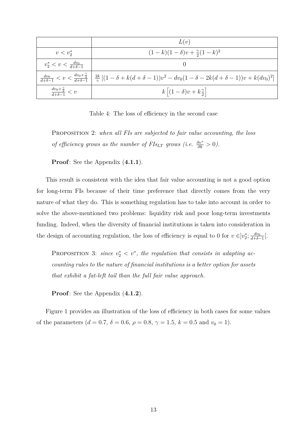|                                                      | L(v)                                                                                                                                                                                     |
|------------------------------------------------------|------------------------------------------------------------------------------------------------------------------------------------------------------------------------------------------|
| $v < v_2^*$                                          | $(1-k)(1-\delta)v + \frac{\gamma}{2}(1-k)^2$                                                                                                                                             |
| $v_2^* < v < \frac{dv_0}{d+\delta-1}$                |                                                                                                                                                                                          |
|                                                      | $\frac{dv_0}{d+\delta-1} < v < \frac{dv_0+\frac{\gamma}{2}}{d+\delta-1} \Big  \frac{2k}{\gamma} \left[ (1-\delta+k(d+\delta-1))v^2 - dv_0(1-\delta-2k(d+\delta-1))v + k(dv_0)^2 \right]$ |
| $\frac{dv_0 + \frac{\gamma}{2}}{d + \delta - 1} < v$ | $k (1-\delta)v+k_2^{\gamma} $                                                                                                                                                            |

Table 4: The loss of efficiency in the second case

Proposition 2: *when all FIs are subjected to fair value accounting, the loss of efficiency grows as the number of FIs*<sub>*LT*</sub> *grows (i.e.*  $\frac{\partial v^*}{\partial k} > 0$ ).

**Proof**: See the Appendix (**4.1.1**).

This result is consistent with the idea that fair value accounting is not a good option for long-term FIs because of their time preference that directly comes from the very nature of what they do. This is something regulation has to take into account in order to solve the above-mentioned two problems: liquidity risk and poor long-term investments funding. Indeed, when the diversity of financial institutions is taken into consideration in the design of accounting regulation, the loss of efficiency is equal to 0 for  $v \in ]v_2^*; \frac{dv_0}{d+\delta}$  $\frac{dv_0}{d+\delta-1}$ [.

PROPOSITION 3: *since*  $v_2^* < v^*$ , the regulation that consists in adapting ac*counting rules to the nature of financial institutions is a better option for assets that exhibit a fat-left tail than the full fair value approach.*

**Proof**: See the Appendix (**4.1.2**).

Figure 1 provides an illustration of the loss of efficiency in both cases for some values of the parameters ( $d = 0.7$ ,  $\delta = 0.6$ ,  $\rho = 0.8$ ,  $\gamma = 1.5$ ,  $k = 0.5$  and  $v_0 = 1$ ).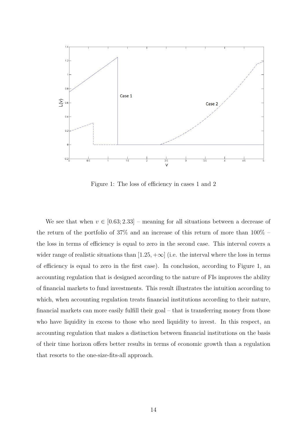

Figure 1: The loss of efficiency in cases 1 and 2

We see that when  $v \in [0.63; 2.33]$  – meaning for all situations between a decrease of the return of the portfolio of 37% and an increase of this return of more than 100% – the loss in terms of efficiency is equal to zero in the second case. This interval covers a wider range of realistic situations than  $[1.25, +\infty]$  (i.e. the interval where the loss in terms of efficiency is equal to zero in the first case). In conclusion, according to Figure 1, an accounting regulation that is designed according to the nature of FIs improves the ability of financial markets to fund investments. This result illustrates the intuition according to which, when accounting regulation treats financial institutions according to their nature, financial markets can more easily fulfill their goal – that is transferring money from those who have liquidity in excess to those who need liquidity to invest. In this respect, an accounting regulation that makes a distinction between financial institutions on the basis of their time horizon offers better results in terms of economic growth than a regulation that resorts to the one-size-fits-all approach.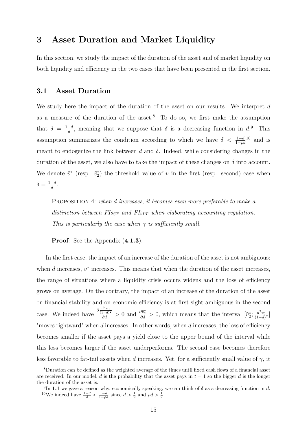## **3 Asset Duration and Market Liquidity**

In this section, we study the impact of the duration of the asset and of market liquidity on both liquidity and efficiency in the two cases that have been presented in the first section.

#### **3.1 Asset Duration**

We study here the impact of the duration of the asset on our results. We interpret *d* as a measure of the duration of the asset.<sup>8</sup> To do so, we first make the assumption that  $\delta = \frac{1-d}{d}$  $\frac{-d}{d}$ , meaning that we suppose that  $\delta$  is a decreasing function in  $d$ <sup>9</sup>. This assumption summarizes the condition according to which we have  $\delta < \frac{1-d}{1-\rho d}$  and is meant to endogenize the link between *d* and *δ*. Indeed, while considering changes in the duration of the asset, we also have to take the impact of these changes on  $\delta$  into account. We denote  $\tilde{v}^*$  (resp.  $\tilde{v}_2^*$ ) the threshold value of *v* in the first (resp. second) case when  $\delta = \frac{1-d}{d}$  $\frac{-d}{d}$ .

Proposition 4: *when d increases, it becomes even more preferable to make a distinction between FIsST and FIsLT when elaborating accounting regulation. This is particularly the case when*  $\gamma$  *is sufficiently small.* 

**Proof**: See the Appendix (**4.1.3**).

In the first case, the impact of an increase of the duration of the asset is not ambiguous: when  $d$  increases,  $\tilde{v}^*$  increases. This means that when the duration of the asset increases, the range of situations where a liquidity crisis occurs widens and the loss of efficiency grows on average. On the contrary, the impact of an increase of the duration of the asset on financial stability and on economic efficiency is at first sight ambiguous in the second case. We indeed have  $\frac{\partial \frac{d^2 v_0}{(1-d)^2}}{\partial d} > 0$  and  $\frac{\partial \tilde{v}_2^*}{\partial d} > 0$ , which means that the interval  $[\tilde{v}_2^*, \frac{d^2 v_0}{(1-d)^2}]$  $\frac{d^2v_0}{(1-d)^2}$ "moves rightward" when *d* increases. In other words, when *d* increases, the loss of efficiency becomes smaller if the asset pays a yield close to the upper bound of the interval while this loss becomes larger if the asset underperforms. The second case becomes therefore less favorable to fat-tail assets when *d* increases. Yet, for a sufficiently small value of  $\gamma$ , it

<sup>8</sup>Duration can be defined as the weighted average of the times until fixed cash flows of a financial asset are received. In our model, *d* is the probability that the asset pays in  $t = 1$  so the bigger *d* is the longer the duration of the asset is.

<sup>&</sup>lt;sup>9</sup>In **1.1** we gave a reason why, economically speaking, we can think of  $\delta$  as a decreasing function in *d*. <sup>10</sup>We indeed have  $\frac{1-d}{d} < \frac{1-d}{1-\rho d}$  since  $d > \frac{1}{2}$  and  $\rho d > \frac{1}{2}$ .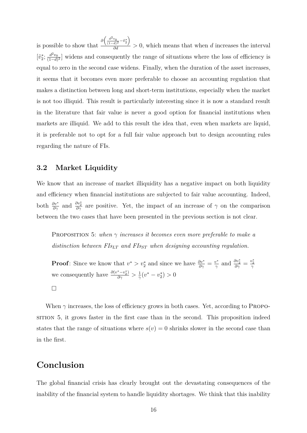is possible to show that  $\frac{\partial \left(\frac{d^2 v_0}{(1-d)^2} - \tilde{v}_2^*\right)}{\partial d}$  $\frac{d^2}{d^2}$  > 0, which means that when *d* increases the interval  $[\tilde{v}_2^*; \frac{d^2v_0}{(1-d)}]$  $\frac{d^2v_0}{(1-d)^2}$  widens and consequently the range of situations where the loss of efficiency is equal to zero in the second case widens. Finally, when the duration of the asset increases, it seems that it becomes even more preferable to choose an accounting regulation that makes a distinction between long and short-term institutions, especially when the market is not too illiquid. This result is particularly interesting since it is now a standard result in the literature that fair value is never a good option for financial institutions when markets are illiquid. We add to this result the idea that, even when markets are liquid, it is preferable not to opt for a full fair value approach but to design accounting rules regarding the nature of FIs.

## **3.2 Market Liquidity**

We know that an increase of market illiquidity has a negative impact on both liquidity and efficiency when financial institutions are subjected to fair value accounting. Indeed, both  $\frac{\partial v^*}{\partial \gamma}$  and  $\frac{\partial v^*}{\partial \gamma}$  are positive. Yet, the impact of an increase of  $\gamma$  on the comparison between the two cases that have been presented in the previous section is not clear.

Proposition 5: *when γ increases it becomes even more preferable to make a distinction between FIsLT and FIsST when designing accounting regulation.*

**Proof**: Since we know that  $v^* > v_2^*$  and since we have  $\frac{\partial v^*}{\partial \gamma} = \frac{v^*}{\gamma}$  $\frac{v^*}{\gamma}$  and  $\frac{\partial v_2^*}{\partial \gamma} = \frac{v_2^*}{\gamma}$ we consequently have  $\frac{\partial (v^* - v_2^*)}{\partial \gamma} > \frac{1}{\gamma}$  $\frac{1}{\gamma}(v^* - v_2^*) > 0$  $\Box$ 

When  $\gamma$  increases, the loss of efficiency grows in both cases. Yet, according to PROPOsition 5, it grows faster in the first case than in the second. This proposition indeed states that the range of situations where  $s(v) = 0$  shrinks slower in the second case than in the first.

## **Conclusion**

The global financial crisis has clearly brought out the devastating consequences of the inability of the financial system to handle liquidity shortages. We think that this inability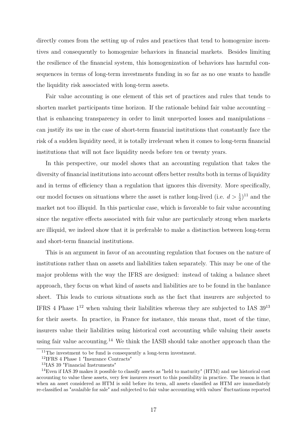directly comes from the setting up of rules and practices that tend to homogenize incentives and consequently to homogenize behaviors in financial markets. Besides limiting the resilience of the financial system, this homogenization of behaviors has harmful consequences in terms of long-term investments funding in so far as no one wants to handle the liquidity risk associated with long-term assets.

Fair value accounting is one element of this set of practices and rules that tends to shorten market participants time horizon. If the rationale behind fair value accounting – that is enhancing transparency in order to limit unreported losses and manipulations – can justify its use in the case of short-term financial institutions that constantly face the risk of a sudden liquidity need, it is totally irrelevant when it comes to long-term financial institutions that will not face liquidity needs before ten or twenty years.

In this perspective, our model shows that an accounting regulation that takes the diversity of financial institutions into account offers better results both in terms of liquidity and in terms of efficiency than a regulation that ignores this diversity. More specifically, our model focuses on situations where the asset is rather long-lived (i.e.  $d > \frac{1}{2}$ )<sup>11</sup> and the market not too illiquid. In this particular case, which is favorable to fair value accounting since the negative effects associated with fair value are particularly strong when markets are illiquid, we indeed show that it is preferable to make a distinction between long-term and short-term financial institutions.

This is an argument in favor of an accounting regulation that focuses on the nature of institutions rather than on assets and liabilities taken separately. This may be one of the major problems with the way the IFRS are designed: instead of taking a balance sheet approach, they focus on what kind of assets and liabilities are to be found in the banlance sheet. This leads to curious situations such as the fact that insurers are subjected to IFRS 4 Phase  $1^{12}$  when valuing their liabilities whereas they are subjected to IAS  $39^{13}$ for their assets. In practice, in France for instance, this means that, most of the time, insurers value their liabilities using historical cost accounting while valuing their assets using fair value accounting.<sup>14</sup> We think the IASB should take another approach than the

<sup>&</sup>lt;sup>11</sup>The investment to be fund is consequently a long-term investment.

<sup>12</sup>IFRS 4 Phase 1 "Insurance Contracts"

<sup>13</sup>IAS 39 "Financial Instruments"

<sup>14</sup>Even if IAS 39 makes it possible to classify assets as "held to maturity" (HTM) and use historical cost accounting to value these assets, very few insurers resort to this possibility in practice. The reason is that when an asset considered as HTM is sold before its term, all assets classified as HTM are immediately re-classified as "avalaible for sale" and subjected to fair value accounting with values' fluctuations reported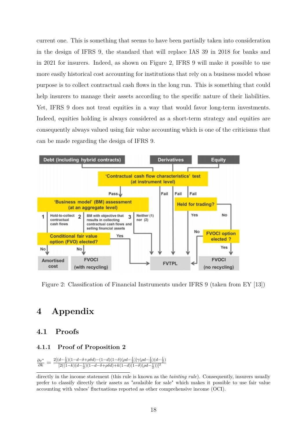current one. This is something that seems to have been partially taken into consideration in the design of IFRS 9, the standard that will replace IAS 39 in 2018 for banks and in 2021 for insurers. Indeed, as shown on Figure 2, IFRS 9 will make it possible to use more easily historical cost accounting for institutions that rely on a business model whose purpose is to collect contractual cash flows in the long run. This is something that could help insurers to manage their assets according to the specific nature of their liabilities. Yet, IFRS 9 does not treat equities in a way that would favor long-term investments. Indeed, equities holding is always considered as a short-term strategy and equities are consequently always valued using fair value accounting which is one of the criticisms that can be made regarding the design of IFRS 9.



Figure 2: Classification of Financial Instruments under IFRS 9 (taken from EY [13])

## **4 Appendix**

## **4.1 Proofs**

#### **4.1.1 Proof of Proposition 2**

$$
\tfrac{\partial v^*}{\partial k}=\tfrac{2[(d-\tfrac{1}{2})(1-d-\delta+\rho\delta d)-(1-d)(1-\delta)(\rho d-\tfrac{1}{2})]\gamma(\rho d-\tfrac{1}{2})(d-\tfrac{1}{2})}{[2((1-k)(d-\tfrac{1}{2})(1-d-\delta+\rho\delta d)+k(1-d)(1-\delta)(\rho d-\tfrac{1}{2}))]^2}
$$

directly in the income statement (this rule is known as the *tainting rule*). Consequently, insurers usually prefer to classify directly their assets as "avalaible for sale" which makes it possible to use fair value accounting with values' fluctuations reported as other comprehensive income (OCI).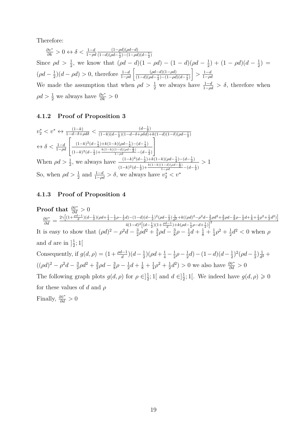Therefore:

$$
\frac{\partial v^*}{\partial k} > 0 \leftrightarrow \delta < \frac{1-d}{1-\rho d} \frac{(1-\rho d)(\rho d - d)}{(1-d)(\rho d - \frac{1}{2}) - (1-\rho d)(d - \frac{1}{2})}
$$
  
Since  $\rho d > \frac{1}{2}$ , we know that  $(\rho d - d)(1 - \rho d) - (1 - d)(\rho d - \frac{1}{2}) + (1 - \rho d)(d - \frac{1}{2}) =$   
 $(\rho d - \frac{1}{2})(d - \rho d) > 0$ , therefore  $\frac{1-d}{1-\rho d} \left[ \frac{(\rho d - d)(1-\rho d)}{(1-d)(\rho d - \frac{1}{2}) - (1-\rho d)(d - \frac{1}{2})} \right] > \frac{1-d}{1-\rho d}$   
We made the assumption that when  $\rho d > \frac{1}{2}$  we always have  $\frac{1-d}{1-\rho d} > \delta$ , therefore when  
 $\rho d > \frac{1}{2}$  we always have  $\frac{\partial v^*}{\partial k} > 0$ 

#### **4.1.2 Proof of Proposition 3**

$$
v_2^* < v^* \leftrightarrow \frac{(1-k)}{1-d-\delta+\rho d\delta} < \frac{(d-\frac{1}{2})}{(1-k)(d-\frac{1}{2})(1-d-\delta+\rho \delta d)+k(1-d)(1-\delta)(\rho d-\frac{1}{2})}
$$
\n
$$
\leftrightarrow \delta < \frac{1-d}{1-\rho d} \left[ \frac{(1-k)^2(d-\frac{1}{2})+k(1-k)(\rho d-\frac{1}{2})-(d-\frac{1}{2})}{(1-k)^2(d-\frac{1}{2})+\frac{k(1-k)(1-d)(\rho d-\frac{1}{2})}{1-\rho d}-(d-\frac{1}{2})} \right]
$$
\nWhen  $\rho d > \frac{1}{2}$ , we always have  $\frac{(1-k)^2(d-\frac{1}{2})+k(1-k)(\rho d-\frac{1}{2})-(d-\frac{1}{2})}{(1-k)^2(d-\frac{1}{2})+\frac{k(1-k)(1-d)(\rho d-\frac{1}{2})}{1-\rho d}-(d-\frac{1}{2})} > 1$ \nSo, when  $\rho d > \frac{1}{2}$  and  $\frac{1-d}{1-\rho d} > \delta$ , we always have  $v_2^* < v^*$ 

#### **4.1.3 Proof of Proposition 4**

**Proof that**  $\frac{\partial \tilde{v}^*}{\partial d} > 0$  $\frac{\partial \tilde{v}^*}{\partial d} = \frac{2\gamma \left[ (1+\frac{\rho d-1}{d})(d-\frac{1}{2})(\rho d+\frac{1}{4}-\frac{1}{2}\rho-\frac{1}{2}d) - (1-d)(d-\frac{1}{2})^2(\rho d-\frac{1}{2})\frac{1}{d^2}+k((\rho d)^2-\rho^2d-\frac{3}{2}\rho d^2+\frac{3}{2}\rho d-\frac{3}{8}\rho-\frac{1}{2}d+\frac{1}{8}+\frac{1}{4}\rho^2+\frac{1}{2}d^2)\right]}{4(1-d)^2\left[(d-\frac{1}{2})(1+\frac{\rho d-1}{2})+k(\rho$  $4(1-d)^2 \left[ (d - \frac{1}{2})(1 + \frac{\rho d - 1}{d}) + k(\rho d - \frac{1}{2}\rho - d + \frac{1}{2}) \right]^2$ It is easy to show that  $(\rho d)^2 - \rho^2 d - \frac{3}{2}$  $\frac{3}{2}\rho d^2 + \frac{3}{2}$  $\frac{3}{2}\rho d - \frac{3}{8}$  $\frac{3}{8}\rho - \frac{1}{2}$  $rac{1}{2}d + \frac{1}{8} + \frac{1}{4}$  $rac{1}{4}\rho^2 + \frac{1}{2}$  $\frac{1}{2}d^2 < 0$  when  $\rho$ and *d* are in  $\frac{1}{2}$  $\frac{1}{2}$ ; 1[ Consequently, if  $g(d, \rho) = (1 + \frac{\rho d - 1}{d})(d - \frac{1}{2})$  $(\rho d + \frac{1}{4} - \frac{1}{2})$  $rac{1}{2}\rho - \frac{1}{2}$  $\frac{1}{2}d) - (1-d)(d-\frac{1}{2})$  $(\frac{1}{2})^2(\rho d - \frac{1}{2})$  $\frac{1}{2}$  $\frac{1}{d^2}$  $\frac{1}{d^2} +$  $((\rho d)^2 - \rho^2 d - \frac{3}{2})$  $\frac{3}{2}\rho d^2 + \frac{3}{2}$  $\frac{3}{2}\rho d - \frac{3}{8}$  $\frac{3}{8}\rho - \frac{1}{2}$  $rac{1}{2}d + \frac{1}{8} + \frac{1}{4}$  $rac{1}{4}\rho^2 + \frac{1}{2}$  $\frac{1}{2}d^2$ ) > 0 we also have  $\frac{\partial \tilde{v}^*}{\partial d}$  > 0 The following graph plots  $g(d, \rho)$  for  $\rho \in ]\frac{1}{2}$  $\frac{1}{2}$ ; 1[ and  $d \in ]\frac{1}{2}$  $\frac{1}{2}$ ; 1[. We indeed have  $g(d, \rho) \geq 0$ for these values of *d* and *ρ* Finally,  $\frac{\partial \tilde{v}^*}{\partial d} > 0$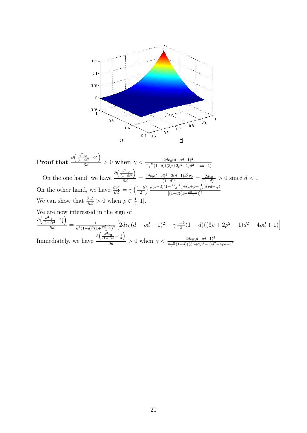

Proof that  $\frac{\partial \left(\frac{d^2v_0}{(1-d)^2} - \tilde{v}_2^*\right)}{\partial d}$  $\frac{2dv_0(d+\rho d-1)^2}{2d} > 0$  when  $\gamma < \frac{2dv_0(d+\rho d-1)^2}{\frac{1-k}{2}(1-d)((3\rho+2\rho^2-1)d^2-4\rho d+1)}$ On the one hand, we have  $\frac{\partial \left(\frac{d^2 v_0}{(1-d)^2}\right)}{\partial d}$  $\frac{d^2d}{d^2d} = \frac{2dv_0(1-d)^2 - 2(d-1)d^2v_0}{(1-d)^4}$  $\frac{d^{2}-2(d-1)d^{2}v_{0}}{(1-d)^{4}} = \frac{2dv_{0}}{(1-d)}$  $\frac{2dv_0}{(1-d)^3} > 0$  since  $d < 1$ On the other hand, we have  $\frac{\partial \tilde{v}_2^*}{\partial d} = \gamma \left( \frac{1-k}{2} \right)$ 2  $\frac{\rho(1-d)(1+\frac{\rho d-1}{d})+(1+\rho-\frac{1}{d^2})(\rho d-\frac{1}{2})}{h^2}$  $[(1-d)(1+\frac{\rho d-1}{d})]^2$ We can show that  $\frac{\partial \tilde{v}_2^*}{\partial d} > 0$  when  $\rho \in ]\frac{1}{2}$  $\frac{1}{2}$ ; 1[. We are now interested in the sign of  $\partial \left( \frac{d^2 v_0}{(1-d)^2} - \tilde{v}_2^* \right)$  $\frac{d^{2}}{d^{2}} \frac{d^{2}}{d^{2}} = \frac{1}{d^{2}(1-d)^{3}(1-d)^{3}}$  $\frac{1}{d^2(1-d)^3(1+\frac{\rho d-1}{d})^2} \left[2dv_0(d+\rho d-1)^2-\gamma\frac{1-k}{2}\right]$  $\frac{-k}{2}(1-d)((3\rho+2\rho^2-1)d^2-4\rho d+1)$ Immediately, we have  $\frac{\partial \left(\frac{d^2 v_0}{(1-d)^2} - \tilde{v}_2^*\right)}{\partial d}$ *d*  $\frac{2dv_0(d+\rho d-1)^2}{2d} > 0$  when  $\gamma < \frac{2dv_0(d+\rho d-1)^2}{\frac{1-k}{2}(1-d)((3\rho+2\rho^2-1)d^2-4\rho d+1)}$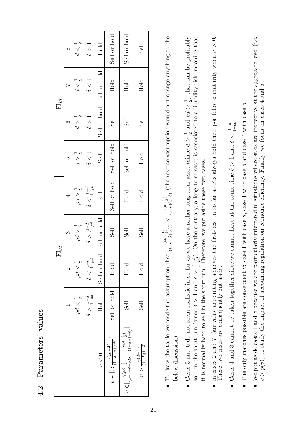|                                                                                                                                                                                                                                        |                                 |                               | ${\rm FI}_{ST}$                 |                               |                   |                   | $FI_{LT}$                 |                                 |
|----------------------------------------------------------------------------------------------------------------------------------------------------------------------------------------------------------------------------------------|---------------------------------|-------------------------------|---------------------------------|-------------------------------|-------------------|-------------------|---------------------------|---------------------------------|
|                                                                                                                                                                                                                                        |                                 | $\mathcal{L}$                 | S                               | 4                             | LC.               | G                 | $\overline{ }$            | $\infty$                        |
|                                                                                                                                                                                                                                        | $\rho d < \frac{1}{2}$          | $\frac{1}{2}$<br>p            | $\rho d > \frac{1}{2}$          | $\rho d > \frac{1}{2}$        | $d > \frac{1}{2}$ | $d > \frac{1}{2}$ | $\frac{1}{2}$<br>$d \leq$ | $\frac{1}{2}$<br>$\overline{q}$ |
|                                                                                                                                                                                                                                        | $\delta > \frac{1-d}{1-\rho d}$ | $\delta<\frac{1-d}{1-\rho d}$ | $\delta > \frac{1-d}{1-\rho d}$ | $\delta<\frac{1-d}{1-\rho d}$ | $\delta < 1$      | $\delta > 1$      | $\delta < 1$              | $\delta > 1$                    |
| v<0                                                                                                                                                                                                                                    | Hold                            | hold<br>Sell or               | Sell or hold                    | <b>Sell</b>                   | <b>Sell</b>       | Sell or hold      | Sell or hold              | Hold                            |
| $v \in [0; \frac{\gamma(\rho d - \frac{1}{2})}{(1 - d - \delta + \rho d \delta)}]$                                                                                                                                                     | Sell or hold                    | Hold                          | Sell                            | Sell or hold                  | Sell or hold      | <b>Sell</b>       | Hold                      | Sell or hold                    |
| $v\in ]\frac{\gamma(\rho d-\frac{1}{2})}{(1-d-\delta+\rho d\delta)}\cdot \frac{\gamma(d-\frac{1}{2})}{(1-d)(1-\delta)}]$                                                                                                               | Sell                            | Hold                          | Sell                            | Hold                          | Sell or hold      | <b>Sell</b>       | Hold                      | Sell or hold                    |
| $v>\frac{\gamma(d-\frac{1}{2})}{(1-d)(1-\delta)}$                                                                                                                                                                                      | <b>Sell</b>                     | Hold                          | <b>Sell</b>                     | Hold                          | Hold              | Sell              | Hold                      | <b>Sell</b>                     |
| • To draw the table we made the assumption that $\frac{\gamma(\rho d - \frac{1}{2})}{(1 - d - \delta + \rho d \delta)} < \frac{\gamma(d - \frac{1}{2})}{(1 - d)(1 - \delta)}$ (the reverse assumption would not change anything to the |                                 |                               |                                 |                               |                   |                   |                           |                                 |
| below discussion).                                                                                                                                                                                                                     |                                 |                               |                                 |                               |                   |                   |                           |                                 |
|                                                                                                                                                                                                                                        |                                 |                               |                                 |                               |                   |                   |                           |                                 |

- 
- sold in the short run (since  $\delta > 1$  and  $\delta > \frac{1-d}{1-\rho d}$ ). On the contrary, a long-term asset is associated to a liquidity risk, meaning that it is normallly hard to sell in the short run. Therefore, we put aside these t • Cases 3 and 6 do not seem realistic in so far as we have a rather long-term asset (since  $d > \frac{1}{2}$  and  $\rho d > \frac{1}{2}$ ) that can be profitably Cases 3 and 6 do not seem realistic in so far as we have a rather long-term asset (since  $d > \frac{1}{2}$  and  $\rho d > \frac{1}{2}$ ) that can be profitably sold in the short run (since  $\delta$  > 1 and  $\delta$  >  $\frac{1-d}{1-\rho d}$ ). On the contrary, a long-term asset is associated to a liquidity risk, meaning that it is normallly hard to sell in the short run. Therefore, we put aside these two cases.
- In cases 2 and 7, fair value accounting achieves the first-best in so far as FIs always hold their portfolio to maturity when  $v > 0$ .<br>These two cases are consequently put aside. In cases 2 and 7, fair value accounting achieves the first-best in so far as FIs always hold their portfolio to maturity when *v >* 0. These two cases are consequently put aside.
- Cases 4 and 8 cannot be taken together since we cannot have at the same time  $\delta > 1$  and  $\delta < \frac{1-d}{1-ad}$ . • Cases 4 and 8 cannot be taken together since we cannot have at the same time *δ* > 1 and *δ* <  $\frac{1-d}{1-\rho d}$ .<br>• The only matches nossible are consequently: case 1 with case 8 case 1 with case 5 and case 4 with
- The only matches possible are consequently: case 1 with case 8, case 1 with case 5 and case 4 with case 5.  $\bullet$  The only matches possible are consequently: case 1 with case 8, case 1 with case 5 and case 4 with case 5.
- We put aside cases 1 and 8 because we are particularly interested in situations where sales are ineffective at the aggregate level (i.e.  $v > p(v)$ ) to study the impact of accounting regulation on economic efficiency. Fina We put aside cases 1 and 8 because we are particularly interested in situations where sales are ineffective at the aggregate level (i.e.  $v > p(v)$  to study the impact of accounting regulation on economic efficiency. Finally, we focus on cases 4 and 5.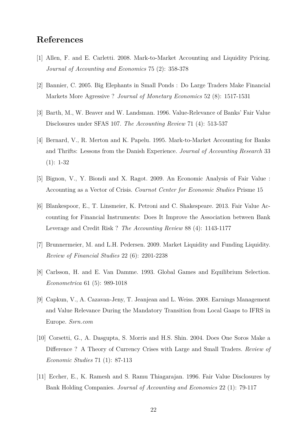## **References**

- [1] Allen, F. and E. Carletti. 2008. Mark-to-Market Accounting and Liquidity Pricing. *Journal of Accounting and Economics* 75 (2): 358-378
- [2] Bannier, C. 2005. Big Elephants in Small Ponds : Do Large Traders Make Financial Markets More Agressive ? *Journal of Monetary Economics* 52 (8): 1517-1531
- [3] Barth, M., W. Beaver and W. Landsman. 1996. Value-Relevance of Banks' Fair Value Disclosures under SFAS 107. *The Accounting Review* 71 (4): 513-537
- [4] Bernard, V., R. Merton and K. Papelu. 1995. Mark-to-Market Accounting for Banks and Thrifts: Lessons from the Danish Experience. *Journal of Accounting Research* 33 (1): 1-32
- [5] Bignon, V., Y. Biondi and X. Ragot. 2009. An Economic Analysis of Fair Value : Accounting as a Vector of Crisis. *Cournot Center for Economic Studies* Prisme 15
- [6] Blankespoor, E., T. Linsmeier, K. Petroni and C. Shakespeare. 2013. Fair Value Accounting for Financial Instruments: Does It Improve the Association between Bank Leverage and Credit Risk ? *The Accounting Review* 88 (4): 1143-1177
- [7] Brunnermeier, M. and L.H. Pedersen. 2009. Market Liquidity and Funding Liquidity. *Review of Financial Studies* 22 (6): 2201-2238
- [8] Carlsson, H. and E. Van Damme. 1993. Global Games and Equilibrium Selection. *Econometrica* 61 (5): 989-1018
- [9] Capkun, V., A. Cazavan-Jeny, T. Jeanjean and L. Weiss. 2008. Earnings Management and Value Relevance During the Mandatory Transition from Local Gaaps to IFRS in Europe. *Ssrn.com*
- [10] Corsetti, G., A. Dasgupta, S. Morris and H.S. Shin. 2004. Does One Soros Make a Difference ? A Theory of Currency Crises with Large and Small Traders. *Review of Economic Studies* 71 (1): 87-113
- [11] Eccher, E., K. Ramesh and S. Ramu Thiagarajan. 1996. Fair Value Disclosures by Bank Holding Companies. *Journal of Accounting and Economics* 22 (1): 79-117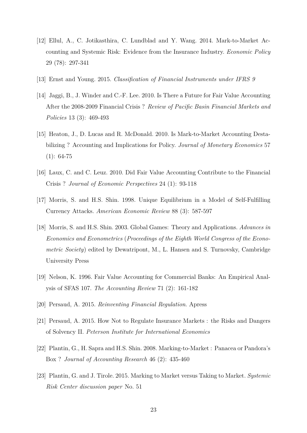- [12] Ellul, A., C. Jotikasthira, C. Lundblad and Y. Wang. 2014. Mark-to-Market Accounting and Systemic Risk: Evidence from the Insurance Industry. *Economic Policy* 29 (78): 297-341
- [13] Ernst and Young. 2015. *Classification of Financial Instruments under IFRS 9*
- [14] Jaggi, B., J. Winder and C.-F. Lee. 2010. Is There a Future for Fair Value Accounting After the 2008-2009 Financial Crisis ? *Review of Pacific Basin Financial Markets and Policies* 13 (3): 469-493
- [15] Heaton, J., D. Lucas and R. McDonald. 2010. Is Mark-to-Market Accounting Destabilizing ? Accounting and Implications for Policy. *Journal of Monetary Economics* 57  $(1): 64-75$
- [16] Laux, C. and C. Leuz. 2010. Did Fair Value Accounting Contribute to the Financial Crisis ? *Journal of Economic Perspectives* 24 (1): 93-118
- [17] Morris, S. and H.S. Shin. 1998. Unique Equilibrium in a Model of Self-Fulfilling Currency Attacks. *American Economic Review* 88 (3): 587-597
- [18] Morris, S. and H.S. Shin. 2003. Global Games: Theory and Applications. *Advances in Economics and Econometrics* (*Proceedings of the Eighth World Congress of the Econometric Society*) edited by Dewatripont, M., L. Hansen and S. Turnovsky, Cambridge University Press
- [19] Nelson, K. 1996. Fair Value Accounting for Commercial Banks: An Empirical Analysis of SFAS 107. *The Accounting Review* 71 (2): 161-182
- [20] Persaud, A. 2015. *Reinventing Financial Regulation*. Apress
- [21] Persaud, A. 2015. How Not to Regulate Insurance Markets : the Risks and Dangers of Solvency II. *Peterson Institute for International Economics*
- [22] Plantin, G., H. Sapra and H.S. Shin. 2008. Marking-to-Market : Panacea or Pandora's Box ? *Journal of Accounting Research* 46 (2): 435-460
- [23] Plantin, G. and J. Tirole. 2015. Marking to Market versus Taking to Market. *Systemic Risk Center discussion paper* No. 51